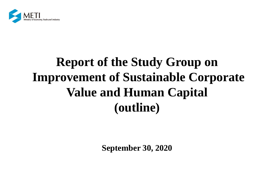

# **Report of the Study Group on Improvement of Sustainable Corporate Value and Human Capital (outline)**

**September 30, 2020**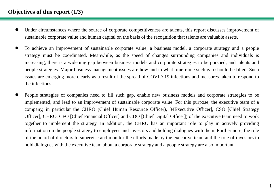## **Objectives of this report (1/3)**

- Under circumstances where the source of corporate competitiveness are talents, this report discusses improvement of sustainable corporate value and human capital on the basis of the recognition that talents are valuable assets.
- To achieve an improvement of sustainable corporate value, a business model, a corporate strategy and a people strategy must be coordinated. Meanwhile, as the speed of changes surrounding companies and individuals is increasing, there is a widening gap between business models and corporate strategies to be pursued, and talents and people strategies. Major business management issues are how and in what timeframe such gap should be filled. Such issues are emerging more clearly as a result of the spread of COVID-19 infections and measures taken to respond to the infections.
- People strategies of companies need to fill such gap, enable new business models and corporate strategies to be implemented, and lead to an improvement of sustainable corporate value. For this purpose, the executive team of a company, in particular the CHRO (Chief Human Resource Officer), 34Executive Officer], CSO [Chief Strategy Officer], CHRO, CFO [Chief Financial Officer] and CDO [Chief Digital Officer]) of the executive team need to work together to implement the strategy. In addition, the CHRO has an important role to play in actively providing information on the people strategy to employees and investors and holding dialogues with them. Furthermore, the role of the board of directors to supervise and monitor the efforts made by the executive team and the role of investors to hold dialogues with the executive team about a corporate strategy and a people strategy are also important.

1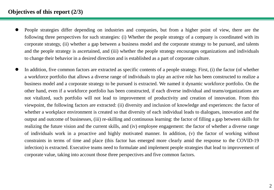## **Objectives of this report (2/3)**

- People strategies differ depending on industries and companies, but from a higher point of view, there are the following three perspectives for such strategies: (i) Whether the people strategy of a company is coordinated with its corporate strategy, (ii) whether a gap between a business model and the corporate strategy to be pursued, and talents and the people strategy is ascertained, and (iii) whether the people strategy encourages organizations and individuals to change their behavior in a desired direction and is established as a part of corporate culture.
- In addition, five common factors are extracted as specific contents of a people strategy. First, (i) the factor (of whether a workforce portfolio that allows a diverse range of individuals to play an active role has been constructed to realize a business model and a corporate strategy to be pursued is extracted. We named it dynamic workforce portfolio. On the other hand, even if a workforce portfolio has been constructed, if each diverse individual and teams/organizations are not vitalized, such portfolio will not lead to improvement of productivity and creation of innovation. From this viewpoint, the following factors are extracted: (ii) diversity and inclusion of knowledge and experiences: the factor of whether a workplace environment is created so that diversity of each individual leads to dialogues, innovation and the output and outcome of businesses, (iii) re-skilling and continuous learning: the factor of filling a gap between skills for realizing the future vision and the current skills, and (iv) employee engagement: the factor of whether a diverse range of individuals work in a proactive and highly motivated manner. In addition, (v) the factor of working without constraints in terms of time and place (this factor has emerged more clearly amid the response to the COVID-19 infection) is extracted. Executive teams need to formulate and implement people strategies that lead to improvement of corporate value, taking into account those three perspectives and five common factors.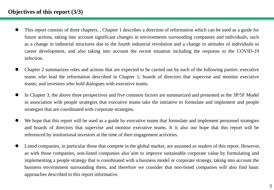## **Objectives of this report (3/3)**

- This report consists of three chapters. , Chapter 1 describes a direction of reformation which can be used as a guide for future actions, taking into account significant changes in environments surrounding companies and individuals, such as a change in industrial structures due to the fourth industrial revolution and a change in attitudes of individuals to career development, and also taking into account the recent situation including the response to the COVID-19 infection.
- Chapter 2 summarizes roles and actions that are expected to be carried out by each of the following parties: executive teams who lead the reformation described in Chapter 1; boards of directors that supervise and monitor executive teams; and investors who hold dialogues with executive teams.
- In Chapter 3, the above three perspectives and five common factors are summarized and presented as the 3P/5F Model in association with people strategies that executive teams take the initiative to formulate and implement and people strategies that are coordinated with corporate strategies.
- We hope that this report will be used as a guide by executive teams that formulate and implement personnel strategies and boards of directors that supervise and monitor executive teams. It is also our hope that this report will be referenced by institutional investors at the time of their engagement activities.
- Listed companies, in particular those that compete in the global market, are assumed as readers of this report. However, as with those companies, non-listed companies also aim to improve sustainable corporate value by formulating and implementing a people strategy that is coordinated with a business model or corporate strategy, taking into account the business environment surrounding them, and therefore we consider that non-listed companies will also find basic approaches described in this report informative.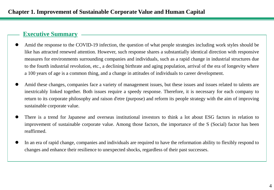## **Executive Summary**

- Amid the response to the COVID-19 infection, the question of what people strategies including work styles should be like has attracted renewed attention. However, such response shares a substantially identical direction with responsive measures for environments surrounding companies and individuals, such as a rapid change in industrial structures due to the fourth industrial revolution, etc., a declining birthrate and aging population, arrival of the era of longevity where a 100 years of age is a common thing, and a change in attitudes of individuals to career development.
- Amid these changes, companies face a variety of management issues, but these issues and issues related to talents are inextricably linked together. Both issues require a speedy response. Therefore, it is necessary for each company to return to its corporate philosophy and raison d'etre (purpose) and reform its people strategy with the aim of improving sustainable corporate value.
- There is a trend for Japanese and overseas institutional investors to think a lot about ESG factors in relation to improvement of sustainable corporate value. Among those factors, the importance of the S (Social) factor has been reaffirmed.
- In an era of rapid change, companies and individuals are required to have the reformation ability to flexibly respond to changes and enhance their resilience to unexpected shocks, regardless of their past successes.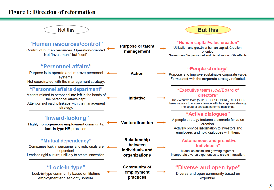## **Figure 1: Direction of reformation**

| Not this                                                                                                                                                                                 |                                                                    | <b>But this</b>                                                                                                                                                                                                        |
|------------------------------------------------------------------------------------------------------------------------------------------------------------------------------------------|--------------------------------------------------------------------|------------------------------------------------------------------------------------------------------------------------------------------------------------------------------------------------------------------------|
| "Human resources/control"<br>Control of human resources. Operation-oriented.<br>Not "investment" but "cost".                                                                             | <b>Purpose of talent</b><br>management                             | "Human capital/value creation"<br>Utilization and growth of human capital. Creation-<br>oriented.<br>"Investment" in personnel and visualization of its effects.                                                       |
| "Personnel affairs"<br>Purpose is to operate and improve personnel<br>systems.<br>Not coordinated with the management strategy.                                                          | <b>Action</b>                                                      | "People strategy"<br>Purpose is to improve sustainable corporate value.<br>Formulated with the corporate strategy reflected.                                                                                           |
| "Personnel affairs department"<br>Matters related to personnel are left in the hands of<br>the personnel affairs dept.<br>Attention not paid to linkage with the management<br>strategy. | <b>Initiative</b>                                                  | "Executive team (5Cs)/Board of<br>directors"<br>The executive team (5Cs: CEO, CSO, CHRO, CFO, CDO)<br>takes initiative to ensure a linkage with the corporate strategy.<br>The board of directors performs monitoring. |
| "Inward-looking"<br>Highly homogeneous employment community;<br>lock-in-type HR practices.                                                                                               | <b>Vector/direction</b>                                            | "Active dialogues"<br>A people strategy features a scenario for value<br>creation.<br>Actively provide information to investors and<br>employees and hold dialogues with them.                                         |
| "Mutual dependency"<br>Companies lock in personnel and individuals are<br>dependent.<br>Leads to rigid culture; unlikely to create innovation.                                           | <b>Relationship</b><br>between<br>individuals and<br>organizations | "Autonomous and proactive<br>individuals"<br>Mutual selection and growing together.<br>Incorporate diverse experiences to create innovation.                                                                           |
| "Lock-in type"<br>Lock-in-type community based on lifetime<br>employment and seniority system.                                                                                           | <b>Community of</b><br>employment<br>practices                     | "Diverse and open type"<br>Diverse and open community based on<br>expertise.                                                                                                                                           |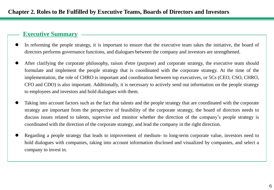## **Executive Summary**

- In reforming the people strategy, it is important to ensure that the executive team takes the initiative, the board of directors performs governance functions, and dialogues between the company and investors are strengthened.
- After clarifying the corporate philosophy, raison d'etre (purpose) and corporate strategy, the executive team should formulate and implement the people strategy that is coordinated with the corporate strategy. At the time of the implementation, the role of CHRO is important and coordination between top executives, or 5Cs (CEO, CSO, CHRO, CFO and CDO) is also important. Additionally, it is necessary to actively send out information on the people strategy to employees and investors and hold dialogues with them.
- Taking into account factors such as the fact that talents and the people strategy that are coordinated with the corporate strategy are important from the perspective of feasibility of the corporate strategy, the board of directors needs to discuss issues related to talents, supervise and monitor whether the direction of the company's people strategy is coordinated with the direction of the corporate strategy, and lead the company in the right direction.
- Regarding a people strategy that leads to improvement of medium- to long-term corporate value, investors need to hold dialogues with companies, taking into account information disclosed and visualized by companies, and select a company to invest in.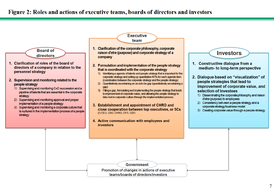### Figure 2: Roles and actions of executive teams, boards of directors and investors

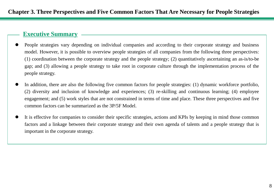## **Executive Summary**

- People strategies vary depending on individual companies and according to their corporate strategy and business model. However, it is possible to overview people strategies of all companies from the following three perspectives: (1) coordination between the corporate strategy and the people strategy; (2) quantitatively ascertaining an as-is/to-be gap; and (3) allowing a people strategy to take root in corporate culture through the implementation process of the people strategy.
- In addition, there are also the following five common factors for people strategies: (1) dynamic workforce portfolio, (2) diversity and inclusion of knowledge and experiences; (3) re-skilling and continuous learning; (4) employee engagement; and (5) work styles that are not constrained in terms of time and place. These three perspectives and five common factors can be summarized as the 3P/5F Model.
- It is effective for companies to consider their specific strategies, actions and KPIs by keeping in mind those common factors and a linkage between their corporate strategy and their own agenda of talents and a people strategy that is important in the corporate strategy.